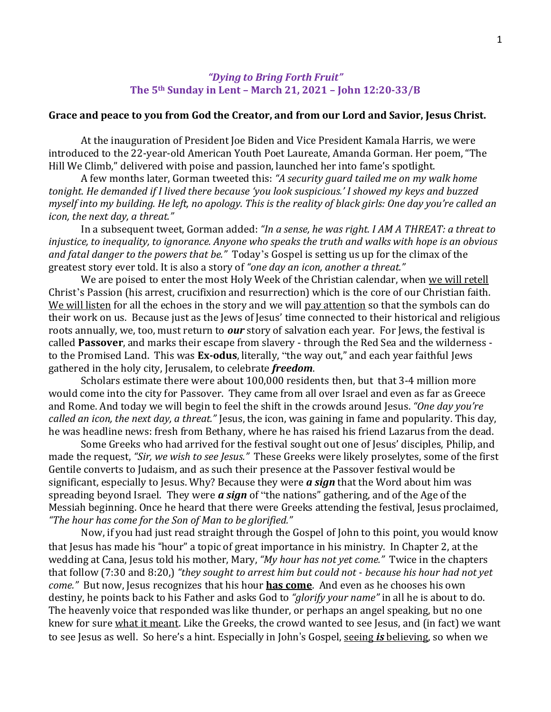## *"Dying to Bring Forth Fruit"* **The 5th Sunday in Lent – March 21, 2021 – John 12:20-33/B**

## **Grace and peace to you from God the Creator, and from our Lord and Savior, Jesus Christ.**

At the inauguration of President Joe Biden and Vice President Kamala Harris, we were introduced to the 22-year-old American Youth Poet Laureate, Amanda Gorman. Her poem, "The Hill We Climb," delivered with poise and passion, launched her into fame's spotlight.

A few months later, Gorman tweeted this: *"A security guard tailed me on my walk home tonight. He demanded if I lived there because 'you look suspicious.' I showed my keys and buzzed myself into my building. He left, no apology. This is the reality of black girls: One day you're called an icon, the next day, a threat."*

In a subsequent tweet, Gorman added: *"In a sense, he was right. I AM A THREAT: a threat to injustice, to inequality, to ignorance. Anyone who speaks the truth and walks with hope is an obvious and fatal danger to the powers that be."* Today's Gospel is setting us up for the climax of the greatest story ever told. It is also a story of *"one day an icon, another a threat."*

We are poised to enter the most Holy Week of the Christian calendar, when we will retell Christ's Passion (his arrest, crucifixion and resurrection) which is the core of our Christian faith. We will listen for all the echoes in the story and we will pay attention so that the symbols can do their work on us. Because just as the Jews of Jesus' time connected to their historical and religious roots annually, we, too, must return to *our* story of salvation each year. For Jews, the festival is called **Passover**, and marks their escape from slavery - through the Red Sea and the wilderness to the Promised Land. This was **Ex-odus**, literally, "the way out," and each year faithful Jews gathered in the holy city, Jerusalem, to celebrate *freedom*.

Scholars estimate there were about 100,000 residents then, but that 3-4 million more would come into the city for Passover. They came from all over Israel and even as far as Greece and Rome. And today we will begin to feel the shift in the crowds around Jesus. *"One day you're called an icon, the next day, a threat."* Jesus, the icon, was gaining in fame and popularity. This day, he was headline news: fresh from Bethany, where he has raised his friend Lazarus from the dead.

Some Greeks who had arrived for the festival sought out one of Jesus' disciples, Philip, and made the request, *"Sir, we wish to see Jesus."* These Greeks were likely proselytes, some of the first Gentile converts to Judaism, and as such their presence at the Passover festival would be significant, especially to Jesus. Why? Because they were *a sign* that the Word about him was spreading beyond Israel. They were *a sign* of "the nations" gathering, and of the Age of the Messiah beginning. Once he heard that there were Greeks attending the festival, Jesus proclaimed, *"The hour has come for the Son of Man to be glorified."*

Now, if you had just read straight through the Gospel of John to this point, you would know that Jesus has made his "hour" a topic of great importance in his ministry. In Chapter 2, at the wedding at Cana, Jesus told his mother, Mary, *"My hour has not yet come."* Twice in the chapters that follow (7:30 and 8:20,) *"they sought to arrest him but could not - because his hour had not yet come."* But now, Jesus recognizes that his hour **has come**. And even as he chooses his own destiny, he points back to his Father and asks God to *"glorify your name"* in all he is about to do. The heavenly voice that responded was like thunder, or perhaps an angel speaking, but no one knew for sure what it meant. Like the Greeks, the crowd wanted to see Jesus, and (in fact) we want to see Jesus as well. So here's a hint. Especially in John's Gospel, seeing *is* believing, so when we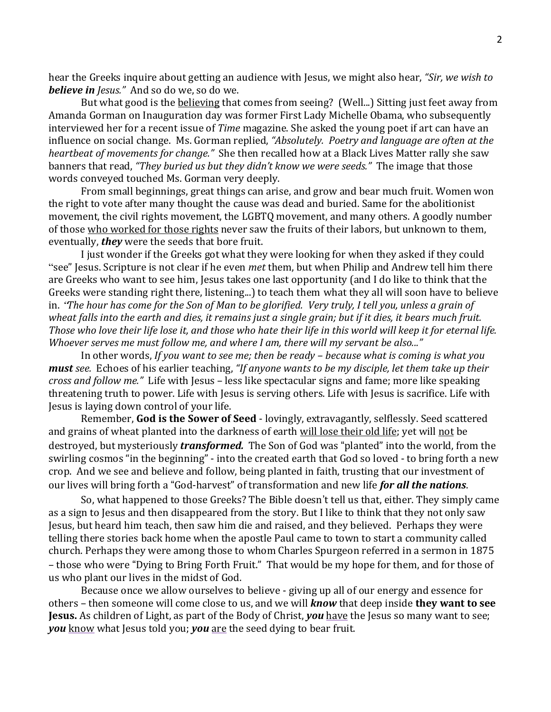hear the Greeks inquire about getting an audience with Jesus, we might also hear, *"Sir, we wish to believe in Jesus."* And so do we, so do we.

But what good is the believing that comes from seeing? (Well...) Sitting just feet away from Amanda Gorman on Inauguration day was former First Lady Michelle Obama, who subsequently interviewed her for a recent issue of *Time* magazine. She asked the young poet if art can have an influence on social change. Ms. Gorman replied, *"Absolutely. Poetry and language are often at the heartbeat of movements for change."* She then recalled how at a Black Lives Matter rally she saw banners that read, *"They buried us but they didn't know we were seeds."* The image that those words conveyed touched Ms. Gorman very deeply.

From small beginnings, great things can arise, and grow and bear much fruit. Women won the right to vote after many thought the cause was dead and buried. Same for the abolitionist movement, the civil rights movement, the LGBTQ movement, and many others. A goodly number of those who worked for those rights never saw the fruits of their labors, but unknown to them, eventually, *they* were the seeds that bore fruit.

I just wonder if the Greeks got what they were looking for when they asked if they could "see" Jesus. Scripture is not clear if he even *met* them, but when Philip and Andrew tell him there are Greeks who want to see him, Jesus takes one last opportunity (and I do like to think that the Greeks were standing right there, listening...) to teach them what they all will soon have to believe in. "*The hour has come for the Son of Man to be glorified. Very truly, I tell you, unless a grain of wheat falls into the earth and dies, it remains just a single grain; but if it dies, it bears much fruit. Those who love their life lose it, and those who hate their life in this world will keep it for eternal life. Whoever serves me must follow me, and where I am, there will my servant be also..."*

In other words, *If you want to see me; then be ready – because what is coming is what you must see.* Echoes of his earlier teaching, *"If anyone wants to be my disciple, let them take up their cross and follow me."* Life with Jesus – less like spectacular signs and fame; more like speaking threatening truth to power. Life with Jesus is serving others. Life with Jesus is sacrifice. Life with Jesus is laying down control of your life.

Remember, **God is the Sower of Seed** - lovingly, extravagantly, selflessly. Seed scattered and grains of wheat planted into the darkness of earth will lose their old life; yet will not be destroyed, but mysteriously *transformed.* The Son of God was "planted" into the world, from the swirling cosmos "in the beginning" - into the created earth that God so loved - to bring forth a new crop. And we see and believe and follow, being planted in faith, trusting that our investment of our lives will bring forth a "God-harvest" of transformation and new life *for all the nations*.

So, what happened to those Greeks? The Bible doesn't tell us that, either. They simply came as a sign to Jesus and then disappeared from the story. But I like to think that they not only saw Jesus, but heard him teach, then saw him die and raised, and they believed. Perhaps they were telling there stories back home when the apostle Paul came to town to start a community called church. Perhaps they were among those to whom Charles Spurgeon referred in a sermon in 1875 – those who were "Dying to Bring Forth Fruit." That would be my hope for them, and for those of us who plant our lives in the midst of God.

Because once we allow ourselves to believe - giving up all of our energy and essence for others – then someone will come close to us, and we will *know* that deep inside **they want to see Jesus.** As children of Light, as part of the Body of Christ, *you* have the Jesus so many want to see; *you* know what Jesus told you; *you* are the seed dying to bear fruit.